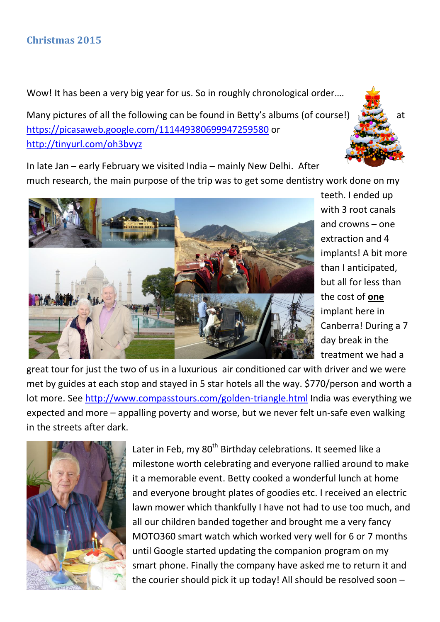Wow! It has been a very big year for us. So in roughly chronological order....

Many pictures of all the following can be found in Betty's albums (of course!)  $\frac{1}{2}$  at <https://picasaweb.google.com/111449380699947259580> or <http://tinyurl.com/oh3bvyz>

In late Jan – early February we visited India – mainly New Delhi. After much research, the main purpose of the trip was to get some dentistry work done on my



teeth. I ended up with 3 root canals and crowns – one extraction and 4 implants! A bit more than I anticipated, but all for less than the cost of **one** implant here in Canberra! During a 7 day break in the treatment we had a

great tour for just the two of us in a luxurious air conditioned car with driver and we were met by guides at each stop and stayed in 5 star hotels all the way. \$770/person and worth a lot more. See<http://www.compasstours.com/golden-triangle.html> India was everything we expected and more – appalling poverty and worse, but we never felt un-safe even walking in the streets after dark.



Later in Feb, my 80<sup>th</sup> Birthday celebrations. It seemed like a milestone worth celebrating and everyone rallied around to make it a memorable event. Betty cooked a wonderful lunch at home and everyone brought plates of goodies etc. I received an electric lawn mower which thankfully I have not had to use too much, and all our children banded together and brought me a very fancy MOTO360 smart watch which worked very well for 6 or 7 months until Google started updating the companion program on my smart phone. Finally the company have asked me to return it and the courier should pick it up today! All should be resolved soon –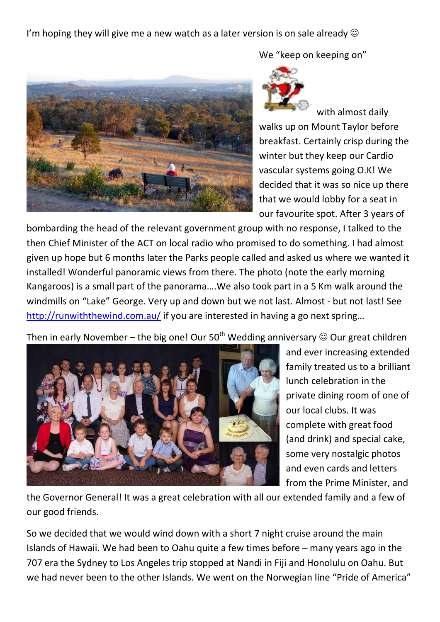I'm hoping they will give me a new watch as a later version is on sale already  $\odot$ 



We "keep on keeping on"



with almost daily walks up on Mount Taylor before breakfast. Certainly crisp during the winter but they keep our Cardio vascular systems going O.K! We decided that it was so nice up there that we would lobby for a seat in our favourite spot. After 3 years of

bombarding the head of the relevant government group with no response, I talked to the then Chief Minister of the ACT on local radio who promised to do something. I had almost given up hope but 6 months later the Parks people called and asked us where we wanted it installed! Wonderful panoramic views from there. The photo (note the early morning Kangaroos) is a small part of the panorama….We also took part in a 5 Km walk around the windmills on "Lake" George. Very up and down but we not last. Almost - but not last! See <http://runwiththewind.com.au/> if you are interested in having a go next spring...

Then in early November – the big one! Our 50<sup>th</sup> Wedding anniversary  $\odot$  Our great children



and ever increasing extended family treated us to a brilliant lunch celebration in the private dining room of one of our local clubs. It was complete with great food (and drink) and special cake, some very nostalgic photos and even cards and letters from the Prime Minister, and

the Governor General! It was a great celebration with all our extended family and a few of our good friends.

So we decided that we would wind down with a short 7 night cruise around the main Islands of Hawaii. We had been to Oahu quite a few times before – many years ago in the 707 era the Sydney to Los Angeles trip stopped at Nandi in Fiji and Honolulu on Oahu. But we had never been to the other Islands. We went on the Norwegian line "Pride of America"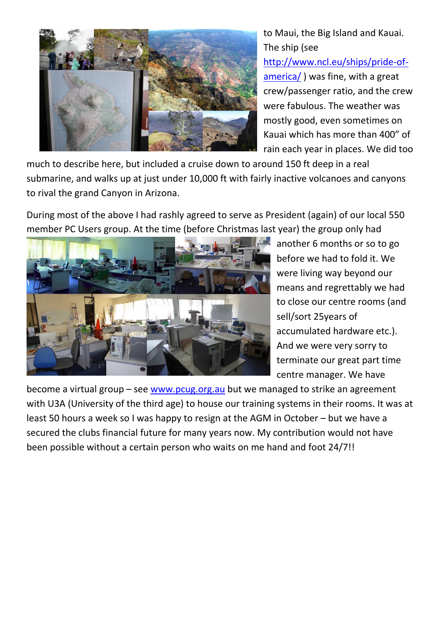

to Maui, the Big Island and Kauai. The ship (see [http://www.ncl.eu/ships/pride-of](http://www.ncl.eu/ships/pride-of-america/)[america/](http://www.ncl.eu/ships/pride-of-america/) ) was fine, with a great crew/passenger ratio, and the crew were fabulous. The weather was mostly good, even sometimes on Kauai which has more than 400" of rain each year in places. We did too

much to describe here, but included a cruise down to around 150 ft deep in a real submarine, and walks up at just under 10,000 ft with fairly inactive volcanoes and canyons to rival the grand Canyon in Arizona.

During most of the above I had rashly agreed to serve as President (again) of our local 550 member PC Users group. At the time (before Christmas last year) the group only had



another 6 months or so to go before we had to fold it. We were living way beyond our means and regrettably we had to close our centre rooms (and sell/sort 25years of accumulated hardware etc.). And we were very sorry to terminate our great part time centre manager. We have

become a virtual group – see [www.pcug.org.au](http://www.pcug.org.au/) but we managed to strike an agreement with U3A (University of the third age) to house our training systems in their rooms. It was at least 50 hours a week so I was happy to resign at the AGM in October – but we have a secured the clubs financial future for many years now. My contribution would not have been possible without a certain person who waits on me hand and foot 24/7!!